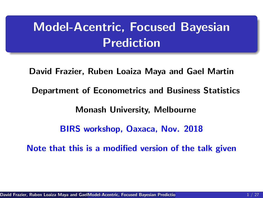# Model-Acentric, Focused Bayesian Prediction

<span id="page-0-0"></span>David Frazier, Ruben Loaiza Maya and Gael Martin Department of Econometrics and Business Statistics Monash University, Melbourne BIRS workshop, Oaxaca, Nov. 2018 Note that this is a modified version of the talk given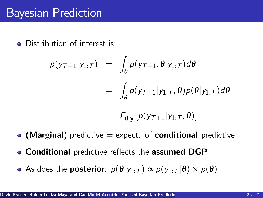# Bayesian Prediction

**•** Distribution of interest is:

$$
p(y_{\mathcal{T}+1}|y_{1:\mathcal{T}}) = \int_{\theta} p(y_{\mathcal{T}+1}, \theta | y_{1:\mathcal{T}}) d\theta
$$
  

$$
= \int_{\theta} p(y_{\mathcal{T}+1} | y_{1:\mathcal{T}}, \theta) p(\theta | y_{1:\mathcal{T}}) d\theta
$$
  

$$
= E_{\theta | \mathbf{y}} [p(y_{\mathcal{T}+1} | y_{1:\mathcal{T}}, \theta)]
$$

- $\bullet$  (Marginal) predictive  $=$  expect. of conditional predictive
- Conditional predictive reflects the assumed DGP
- As does the **posterior**:  $p(\theta|y_{1:T}) \propto p(y_{1:T}|\theta) \times p(\theta)$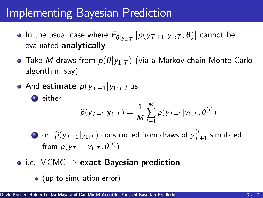# Implementing Bayesian Prediction

- In the usual case where  $E_{\theta|y_{1:T}}\left[ p(y_{\mathcal{T}+1}|y_{1:T},\pmb{\theta})\right]$  cannot be evaluated analytically
- **•** Take M draws from  $p(\theta|y_{1:T})$  (via a Markov chain Monte Carlo algorithm, say)
- And estimate  $p(y_{T+1}|y_{1:T})$  as

**1** either:

$$
\widehat{p}(\mathbf{y}_{\mathcal{T}+1}|\mathbf{y}_{1:T}) = \frac{1}{M}\sum_{i=1}^{M}p(\mathbf{y}_{\mathcal{T}+1}|\mathbf{y}_{1:T},\boldsymbol{\theta}^{(i)})
$$

 $\bullet$  or:  $\widehat{p}(y_{\mathcal{T}+1}|y_{1:T})$  constructed from draws of  $y_{\mathcal{T}+1}^{(i)}$  $T_{7+1}^{(')}$  simulated from  $p(y_{T+1}|y_{1:T}, \theta^{(i)})$ 

- $\bullet$  i.e. MCMC  $\Rightarrow$  exact Bayesian prediction
	- (up to simulation error)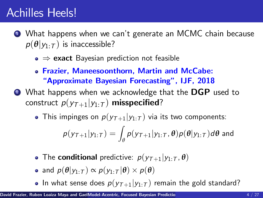### Achilles Heels!

- <sup>1</sup> What happens when we canít generate an MCMC chain because  $p(\theta|y_{1:T})$  is inaccessible?
	- $\bullet \Rightarrow$  exact Bayesian prediction not feasible
	- Frazier, Maneesoonthorn, Martin and McCabe: **"Approximate Bayesian Forecasting", IJF, 2018**
- **2** What happens when we acknowledge that the DGP used to construct  $p(y_{T+1}|y_{1:T})$  misspecified?
	- This impinges on  $p(y_{T+1}|y_{1:T})$  via its two components:

$$
p(y_{\mathcal{T}+1}|y_{1:\mathcal{T}}) = \int_{\theta} p(y_{\mathcal{T}+1}|y_{1:\mathcal{T}}, \theta) p(\theta|y_{1:\mathcal{T}}) d\theta
$$
 and

- The **conditional** predictive:  $p(y_{T+1}|y_{1:T}, \theta)$
- and  $p(\theta | y_{1:T}) \propto p(y_{1:T} | \theta) \times p(\theta)$
- In what sense does  $p(y_{T+1}|y_{1:T})$  remain the gold standard?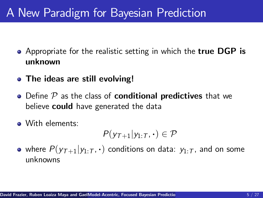# A New Paradigm for Bayesian Prediction

- Appropriate for the realistic setting in which the true DGP is unknown
- The ideas are still evolving!
- Define  $P$  as the class of conditional predictives that we believe **could** have generated the data
- With elements:

$$
P(y_{\mathcal{T}+1}|y_{1:\mathcal{T}},\cdot)\in\mathcal{P}
$$

• where  $P(y_{T+1}|y_1:\tau,\cdot)$  conditions on data:  $y_{1:T}$ , and on some unknowns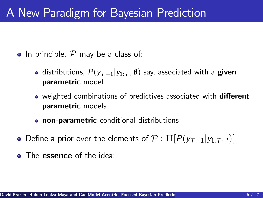### A New Paradigm for Bayesian Prediction

- In principle,  $P$  may be a class of:
	- distributions,  $P(y_{T+1}|y_{1:T}, \theta)$  say, associated with a **given** parametric model
	- weighted combinations of predictives associated with **different** parametric models
	- **o** non-parametric conditional distributions
- Define a prior over the elements of  $\mathcal{P} : \Pi[P(\nu_{\tau+1}|\nu_1\cdot\tau,\cdot)]$
- **The essence** of the idea: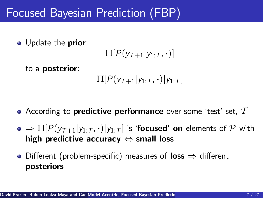O Update the prior:

$$
\Pi[P(y_{\mathcal{T}+1}|y_{1:\mathcal{T}},\boldsymbol{\cdot})]
$$

to a posterior:

$$
\Pi[P(y_{\tau+1}|y_{1:\tau},\cdot)|y_{1:\tau}]
$$

- According to predictive performance over some 'test' set,  $T$
- $\bullet \Rightarrow \Pi[P(\gamma_{T+1}|\gamma_{1:T},\cdot)|\gamma_{1:T}]$  is 'focused' on elements of P with high predictive accuracy  $\Leftrightarrow$  small loss
- Different (problem-specific) measures of loss  $\Rightarrow$  different posteriors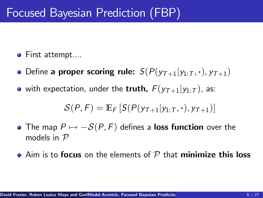- **•** First attempt....
- Define a proper scoring rule:  $S(P(y_{T+1}|y_{1:T},\cdot), y_{T+1})$
- with expectation, under the truth,  $F(y_{T+1}|y_{1:T})$ , as:

$$
\mathcal{S}(P, F) = \mathbb{E}_{F} \left[ S(P(y_{T+1}|y_{1:T}, \cdot), y_{T+1}) \right]
$$

- The map  $P \mapsto -\mathcal{S}(P, F)$  defines a loss function over the models in P
- $\bullet$  Aim is to focus on the elements of  ${\cal P}$  that minimize this loss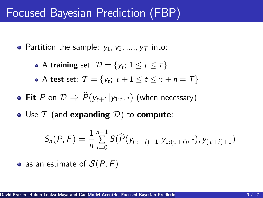- Partition the sample:  $y_1, y_2, ..., y_T$  into:
	- A **training** set:  $\mathcal{D} = \{y_t; 1 \le t \le \tau\}$
	- A test set:  $\mathcal{T} = \{y_t; \tau + 1 \le t \le \tau + n = \mathcal{T}\}\$
- **Fit** P on  $\mathcal{D} \Rightarrow P(y_{t+1}|y_{1:t}, \cdot)$  (when necessary)
- Use  $T$  (and expanding  $D$ ) to compute:

$$
S_n(P, F) = \frac{1}{n} \sum_{i=0}^{n-1} S(\widehat{P}(y_{(\tau+i)+1} | y_{1:(\tau+i)}, \cdot), y_{(\tau+i)+1})
$$

• as an estimate of  $S(P, F)$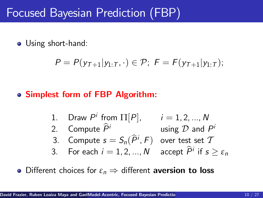• Using short-hand:

$$
P = P(y_{T+1}|y_{1:T},\cdot) \in \mathcal{P};\ F = F(y_{T+1}|y_{1:T});
$$

#### Simplest form of FBP Algorithm:

\n- 1. Draw 
$$
P^i
$$
 from  $\Pi[P]$ ,  $i = 1, 2, ..., N$
\n- 2. Compute  $\hat{P}^i$  using  $\mathcal D$  and  $P^i$
\n- 3. Compute  $s = S_n(\hat{P}^i, F)$  over test set  $T$
\n- 3. For each  $i = 1, 2, ..., N$  accept  $\hat{P}^i$  if  $s \geq \varepsilon_n$
\n

• Different choices for  $\varepsilon_n \Rightarrow$  different **aversion to loss**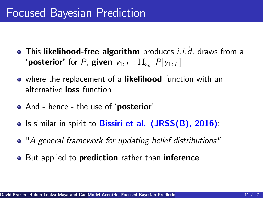# Focused Bayesian Prediction

- This likelihood-free algorithm produces *i.i.d.* draws from a **'posterior'** for P, **given**  $y_{1:T} : \Pi_{\varepsilon_n}[P|y_{1:T}]$
- o where the replacement of a likelihood function with an alternative loss function
- And hence the use of 'posterior'
- Is similar in spirit to Bissiri et al. (JRSS(B), 2016):
- "A general framework for updating belief distributions"
- But applied to **prediction** rather than **inference**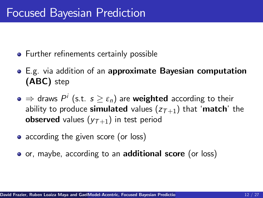- Further refinements certainly possible
- E.g. via addition of an approximate Bayesian computation (ABC) step
- $\Rightarrow$  draws  $P^i$  (s.t.  $s \geq \varepsilon_n$ ) are **weighted** according to their ability to produce simulated values  $(z_{T+1})$  that 'match' the **observed** values  $(y_{T+1})$  in test period
- according the given score (or loss)
- or, maybe, according to an **additional score** (or loss)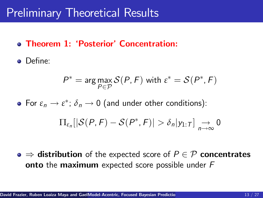- **Theorem 1: 'Posterior' Concentration:**
- Define:

$$
P^* = \arg\max_{P \in \mathcal{P}} \mathcal{S}(P, F) \text{ with } \varepsilon^* = \mathcal{S}(P^*, F)
$$

For  $\varepsilon_n \to \varepsilon^*$ ;  $\delta_n \to 0$  (and under other conditions):  $\Pi_{\varepsilon_n}[|\mathcal{S}(P, F) - \mathcal{S}(P^*, F)| > \delta_n|y_{1:T}] \underset{n \to \infty}{\to} 0$ 

 $\bullet \Rightarrow$  distribution of the expected score of  $P \in \mathcal{P}$  concentrates **onto** the **maximum** expected score possible under F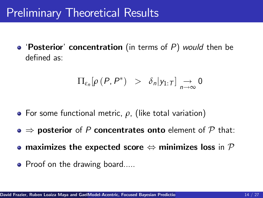• 'Posterior' concentration (in terms of  $P$ ) would then be defined as:

$$
\Pi_{\varepsilon_n}[\rho(P,P^*)] > \delta_n|y_{1:T}] \underset{n \to \infty}{\to} 0
$$

- For some functional metric, *ρ*, (like total variation)
- $\bullet \Rightarrow$  posterior of P concentrates onto element of P that:
- maximizes the expected score  $\Leftrightarrow$  minimizes loss in  $\mathcal P$
- Proof on the drawing board.....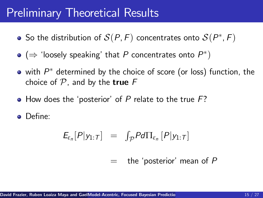- So the distribution of  $\mathcal{S}(P, F)$  concentrates onto  $\mathcal{S}(P^*, F)$
- $(\Rightarrow$  'loosely speaking' that  $P$  concentrates onto  $P^*)$
- with  $P^\ast$  determined by the choice of score (or loss) function, the choice of  $P$ , and by the **true**  $F$
- $\bullet$  How does the 'posterior' of P relate to the true F?

DeÖne:

$$
E_{\varepsilon_n}[P|y_{1:T}] = \int_{\mathcal{P}} P d\Pi_{\varepsilon_n}[P|y_{1:T}]
$$

 $=$  the 'posterior' mean of P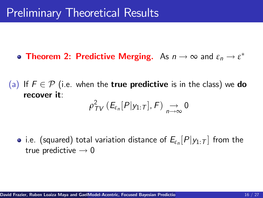- **Theorem 2: Predictive Merging.** As  $n \to \infty$  and  $\varepsilon_n \to \varepsilon^*$
- (a) If  $F \in \mathcal{P}$  (i.e. when the **true predictive** is in the class) we **do** recover it:  $\rho_{\tau V}^2$  ( $E_{\varepsilon_n}[P|y_{1:T}], F$ )  $\underset{n\to\infty}{\to} 0$ 
	- i.e. (squared) total variation distance of  $E_{\varepsilon_n}[P|y_{1:T}]$  from the true predictive  $\rightarrow 0$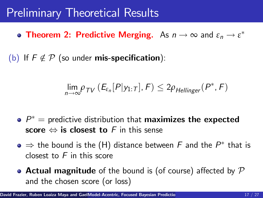- **Theorem 2: Predictive Merging.** As  $n \to \infty$  and  $\varepsilon_n \to \varepsilon^*$
- (b) If  $F \notin \mathcal{P}$  (so under **mis-specification**):

$$
\lim_{n\to\infty} \rho_{TV}\left(E_{\varepsilon_n}[P|y_{1:T}],F\right) \leq 2\rho_{\text{Hellinger}}(P^*,F)
$$

- $P^{\ast} =$  predictive distribution that maximizes the expected score  $\Leftrightarrow$  is closest to F in this sense
- $\Rightarrow$  the bound is the (H) distance between  $F$  and the  $P^*$  that is closest to  $F$  in this score
- Actual magnitude of the bound is (of course) affected by  $P$ and the chosen score (or loss)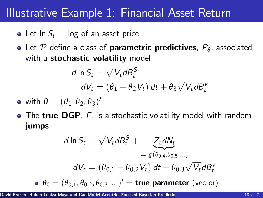#### Illustrative Example 1: Financial Asset Return

- Let  $\ln S_t = \log$  of an asset price
- **•** Let P define a class of **parametric predictives**, P<sub>θ</sub>, associated with a stochastic volatility model

$$
d \ln S_t = \sqrt{V_t} dB_t^S
$$
  

$$
dV_t = (\theta_1 - \theta_2 V_t) dt + \theta_3 \sqrt{V_t} dB_t^V
$$

- with  $\boldsymbol{\theta} = (\theta_1, \theta_2, \theta_3)'$
- The true DGP, F, is a stochastic volatility model with random jumps:

$$
d \ln S_t = \sqrt{V_t} dB_t^S + \underbrace{Z_t dN_t}_{= g(\theta_{0,4}, \theta_{0,5}....)}
$$

$$
dV_t = (\theta_{0,1} - \theta_{0,2} V_t) dt + \theta_{0,3} \sqrt{V_t} dB_t^V
$$

$$
\theta_0 = (\theta_{0,1}, \theta_{0,2}, \theta_{0,3}, ...) = \text{true parameter (vector)}
$$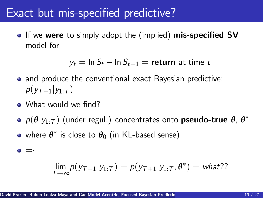#### Exact but mis-specified predictive?

• If we were to simply adopt the (implied) mis-specified SV model for

 $y_t = \ln S_t - \ln S_{t-1} =$  return at time t

- and produce the conventional exact Bayesian predictive:  $p(y_{T+1}|y_1|\tau)$
- What would we find?
- $p(\boldsymbol{\theta}|y_{1:T})$  (under regul.) concentrates onto **pseudo-true**  $\boldsymbol{\theta}$ ,  $\boldsymbol{\theta}^*$
- where *θ* is close to *θ*<sup>0</sup> (in KL-based sense)

$$
\bullet \Rightarrow
$$

$$
\lim_{T\to\infty}p(y_{T+1}|y_{1:T})=p(y_{T+1}|y_{1:T},\theta^*)=what?
$$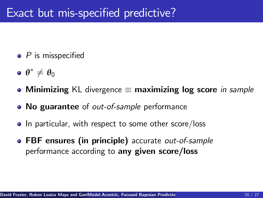- $\bullet$  P is misspecified
- $\theta^* \neq \theta_0$
- Minimizing KL divergence  $\equiv$  maximizing log score in sample
- No guarantee of *out-of-sample* performance
- In particular, with respect to some other score/loss
- FBF ensures (in principle) accurate out-of-sample performance according to any given score/loss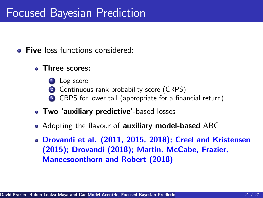# Focused Bayesian Prediction

- **Five** loss functions considered:
	- Three scores:
		- **1** Log score
		- 2 Continuous rank probability score (CRPS)
		- <sup>3</sup> CRPS for lower tail (appropriate for a financial return)
	- Two 'auxiliary predictive'-based losses
	- Adopting the flavour of **auxiliary model-based** ABC
	- Drovandi et al. (2011, 2015, 2018); Creel and Kristensen (2015); Drovandi (2018); Martin, McCabe, Frazier, Maneesoonthorn and Robert (2018)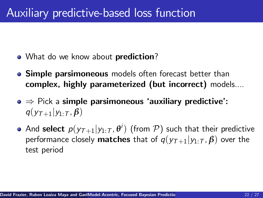- What do we know about **prediction**?
- **Simple parsimoneous** models often forecast better than complex, highly parameterized (but incorrect) models....
- $\bullet \Rightarrow$  Pick a simple parsimoneous 'auxiliary predictive':  $q(y_{\tau+1}|y_1,\tau,\beta)$
- And **select**  $p(y_{\mathcal{T}+1}|y_{1:\mathcal{T}}, \theta^i)$  (from  $\mathcal{P}$ ) such that their predictive performance closely **matches** that of  $q(y_{T+1}|y_1;\tau,\beta)$  over the test period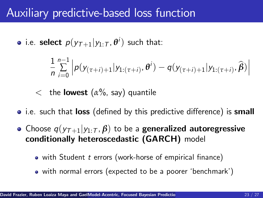# Auxiliary predictive-based loss function

i.e. **select**  $p(y_{\mathcal{T}+1}|y_{1:\mathcal{T}}, \theta^i)$  such that:

$$
\frac{1}{n}\sum_{i=0}^{n-1} \left| p(y_{(\tau+i)+1}|y_{1:(\tau+i)},\theta^i) - q(y_{(\tau+i)+1}|y_{1:(\tau+i)},\widehat{\beta}) \right|
$$

- < the lowest (*α*%, say) quantile
- i.e. such that **loss** (defined by this predictive difference) is **small**
- Choose  $q(y_{T+1}|y_{1:T}, \beta)$  to be a **generalized autoregressive** conditionally heteroscedastic (GARCH) model
	- $\bullet$  with Student t errors (work-horse of empirical finance)
	- with normal errors (expected to be a poorer 'benchmark')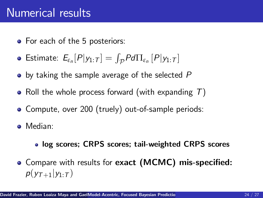# Numerical results

- For each of the 5 posteriors:
- Estimate:  $E_{\varepsilon_n}[P|y_{1:T}] = \int_{\mathcal{P}} P d\Pi_{\varepsilon_n}[P|y_{1:T}]$
- $\bullet$  by taking the sample average of the selected P
- Roll the whole process forward (with expanding  $T$ )
- Compute, over 200 (truely) out-of-sample periods:
- Median:
	- log scores; CRPS scores; tail-weighted CRPS scores
- Compare with results for exact (MCMC) mis-specified:  $p(y_{\tau+1}|y_1;\tau)$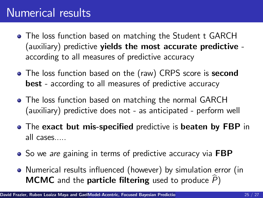# Numerical results

- The loss function based on matching the Student t GARCH (auxiliary) predictive yields the most accurate predictive according to all measures of predictive accuracy
- The loss function based on the (raw) CRPS score is second best - according to all measures of predictive accuracy
- **•** The loss function based on matching the normal GARCH (auxiliary) predictive does not - as anticipated - perform well
- The exact but mis-specified predictive is beaten by FBP in all cases.....
- So we are gaining in terms of predictive accuracy via FBP
- Numerical results influenced (however) by simulation error (in **MCMC** and the **particle filtering** used to produce  $\widehat{P}$ )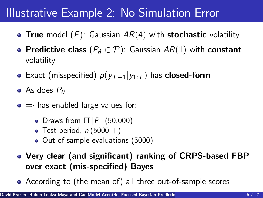# Illustrative Example 2: No Simulation Error

- True model  $(F)$ : Gaussian  $AR(4)$  with stochastic volatility
- **Predictive class**  $(P_{\theta} \in \mathcal{P})$ : Gaussian  $AR(1)$  with constant volatility
- Exact (misspecified)  $p(y_{T+1}|y_{1:T})$  has **closed-form**
- As does P*<sup>θ</sup>*
- $\bullet \Rightarrow$  has enabled large values for:
	- Draws from  $\Pi[P]$  (50,000)
	- Test period,  $n(5000 +)$
	- Out-of-sample evaluations (5000)
- Very clear (and significant) ranking of CRPS-based FBP over exact (mis-specified) Bayes
- According to (the mean of) all three out-of-sample scores